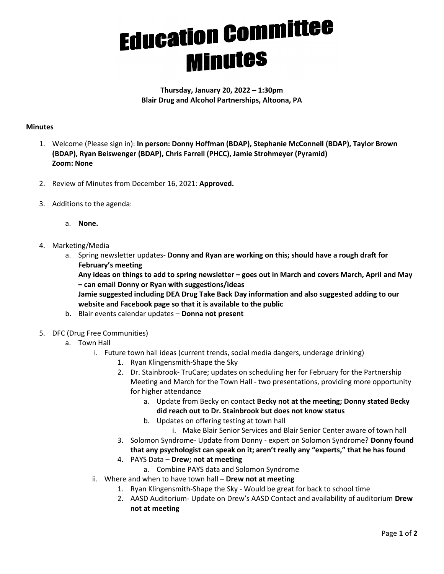## **Education Committee**<br>**Minutes**

Thursday, January 20, 2022 – 1:30pm Blair Drug and Alcohol Partnerships, Altoona, PA

## **Minutes**

- 1. Welcome (Please sign in): In person: Donny Hoffman (BDAP), Stephanie McConnell (BDAP), Taylor Brown (BDAP), Ryan Beiswenger (BDAP), Chris Farrell (PHCC), Jamie Strohmeyer (Pyramid) Zoom: None
- 2. Review of Minutes from December 16, 2021: Approved.
- 3. Additions to the agenda:
	- a. None.
- 4. Marketing/Media
	- a. Spring newsletter updates- Donny and Ryan are working on this; should have a rough draft for February's meeting

Any ideas on things to add to spring newsletter – goes out in March and covers March, April and May – can email Donny or Ryan with suggestions/ideas

Jamie suggested including DEA Drug Take Back Day information and also suggested adding to our website and Facebook page so that it is available to the public

- b. Blair events calendar updates Donna not present
- 5. DFC (Drug Free Communities)
	- a. Town Hall
		- i. Future town hall ideas (current trends, social media dangers, underage drinking)
			- 1. Ryan Klingensmith-Shape the Sky
			- 2. Dr. Stainbrook- TruCare; updates on scheduling her for February for the Partnership Meeting and March for the Town Hall - two presentations, providing more opportunity for higher attendance
				- a. Update from Becky on contact Becky not at the meeting; Donny stated Becky did reach out to Dr. Stainbrook but does not know status
				- b. Updates on offering testing at town hall
					- i. Make Blair Senior Services and Blair Senior Center aware of town hall
			- 3. Solomon Syndrome- Update from Donny expert on Solomon Syndrome? Donny found that any psychologist can speak on it; aren't really any "experts," that he has found
			- 4. PAYS Data Drew; not at meeting
				- a. Combine PAYS data and Solomon Syndrome
		- ii. Where and when to have town hall  $-$  Drew not at meeting
			- 1. Ryan Klingensmith-Shape the Sky Would be great for back to school time
			- 2. AASD Auditorium- Update on Drew's AASD Contact and availability of auditorium Drew not at meeting